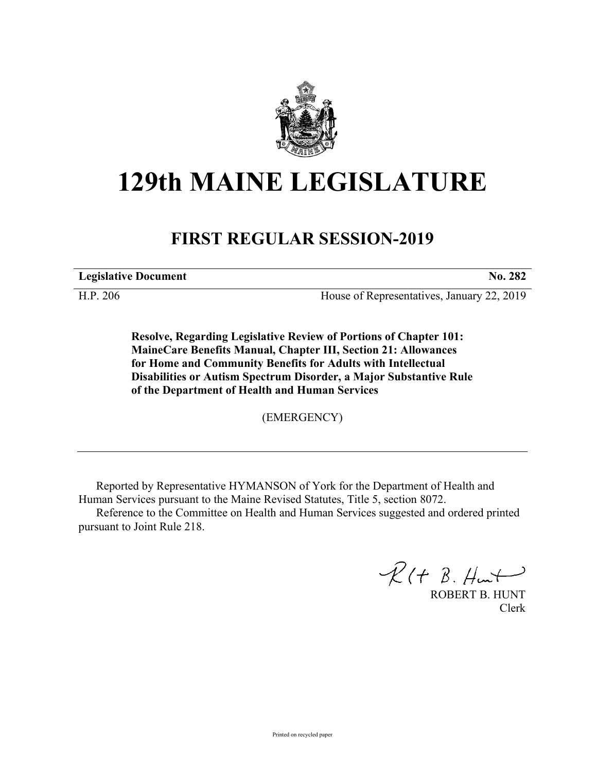

## **129th MAINE LEGISLATURE**

## **FIRST REGULAR SESSION-2019**

**Legislative Document No. 282**

H.P. 206 House of Representatives, January 22, 2019

**Resolve, Regarding Legislative Review of Portions of Chapter 101: MaineCare Benefits Manual, Chapter III, Section 21: Allowances for Home and Community Benefits for Adults with Intellectual Disabilities or Autism Spectrum Disorder, a Major Substantive Rule of the Department of Health and Human Services**

(EMERGENCY)

Reported by Representative HYMANSON of York for the Department of Health and Human Services pursuant to the Maine Revised Statutes, Title 5, section 8072.

Reference to the Committee on Health and Human Services suggested and ordered printed pursuant to Joint Rule 218.

 $R(H B. H<sub>un</sub>+)$ 

ROBERT B. HUNT Clerk